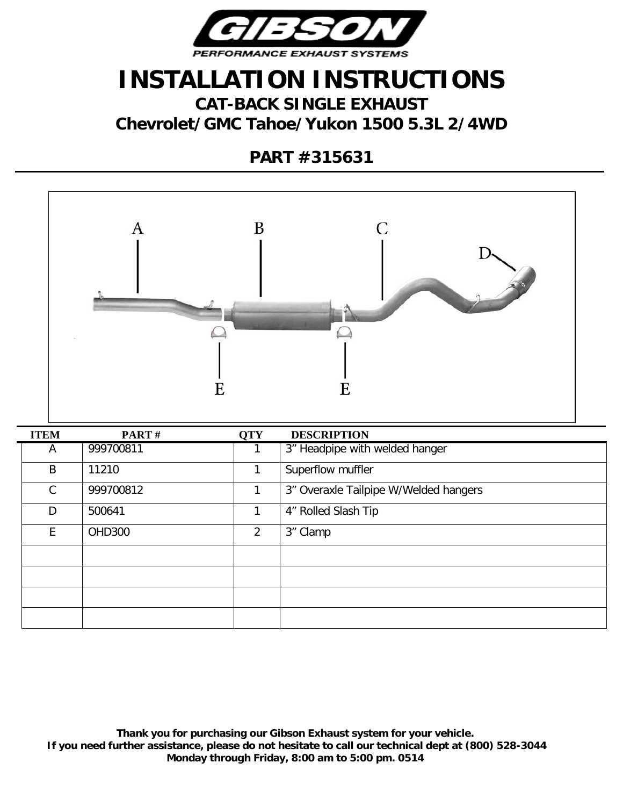

## **INSTALLATION INSTRUCTIONS**

**CAT-BACK SINGLE EXHAUST Chevrolet/GMC Tahoe/Yukon 1500 5.3L 2/4WD**

**PART #315631**



| <b>ITEM</b>  | PART#         | <b>QTY</b> | <b>DESCRIPTION</b>                    |
|--------------|---------------|------------|---------------------------------------|
| A            | 999700811     |            | 3" Headpipe with welded hanger        |
| B            | 11210         | 1          | Superflow muffler                     |
| $\mathsf{C}$ | 999700812     |            | 3" Overaxle Tailpipe W/Welded hangers |
| D            | 500641        | 1          | 4" Rolled Slash Tip                   |
| E.           | <b>OHD300</b> | 2          | 3" Clamp                              |
|              |               |            |                                       |
|              |               |            |                                       |
|              |               |            |                                       |
|              |               |            |                                       |

**Thank you for purchasing our Gibson Exhaust system for your vehicle. If you need further assistance, please do not hesitate to call our technical dept at (800) 528-3044 Monday through Friday, 8:00 am to 5:00 pm. 0514**